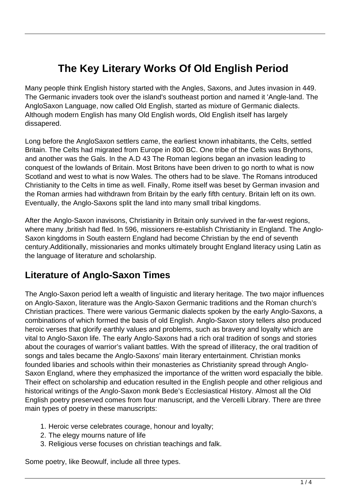# **The Key Literary Works Of Old English Period**

Many people think English history started with the Angles, Saxons, and Jutes invasion in 449. The Germanic invaders took over the island's southeast portion and named it 'Angle-land. The AngloSaxon Language, now called Old English, started as mixture of Germanic dialects. Although modern English has many Old English words, Old English itself has largely dissapered.

Long before the AngloSaxon settlers came, the earliest known inhabitants, the Celts, settled Britain. The Celts had migrated from Europe in 800 BC. One tribe of the Celts was Brythons, and another was the Gals. In the A.D 43 The Roman legions began an invasion leading to conquest of the lowlands of Britain. Most Britons have been driven to go north to what is now Scotland and west to what is now Wales. The others had to be slave. The Romans introduced Christianity to the Celts in time as well. Finally, Rome itself was beset by German invasion and the Roman armies had withdrawn from Britain by the early fifth century. Britain left on its own. Eventually, the Anglo-Saxons split the land into many small tribal kingdoms.

After the Anglo-Saxon inavisons, Christianity in Britain only survived in the far-west regions, where many ,british had fled. In 596, missioners re-establish Christianity in England. The Anglo-Saxon kingdoms in South eastern England had become Christian by the end of seventh century.Additionally, missionaries and monks ultimately brought England literacy using Latin as the language of literature and scholarship.

#### **Literature of Anglo-Saxon Times**

The Anglo-Saxon period left a wealth of linguistic and literary heritage. The two major influences on Anglo-Saxon, literature was the Anglo-Saxon Germanic traditions and the Roman church's Christian practices. There were various Germanic dialects spoken by the early Anglo-Saxons, a combinations of which formed the basis of old English. Anglo-Saxon story tellers also produced heroic verses that glorify earthly values and problems, such as bravery and loyalty which are vital to Anglo-Saxon life. The early Anglo-Saxons had a rich oral tradition of songs and stories about the courages of warrior's valiant battles. With the spread of illiteracy, the oral tradition of songs and tales became the Anglo-Saxons' main literary entertainment. Christian monks founded libaries and schools within their monasteries as Christianity spread through Anglo-Saxon England, where they emphasized the importance of the written word espacially the bible. Their effect on scholarship and education resulted in the English people and other religious and historical writings of the Anglo-Saxon monk Bede's Ecclesiastical History. Almost all the Old English poetry preserved comes from four manuscript, and the Vercelli Library. There are three main types of poetry in these manuscripts:

- 1. Heroic verse celebrates courage, honour and loyalty;
- 2. The elegy mourns nature of life
- 3. Religious verse focuses on christian teachings and falk.

Some poetry, like Beowulf, include all three types.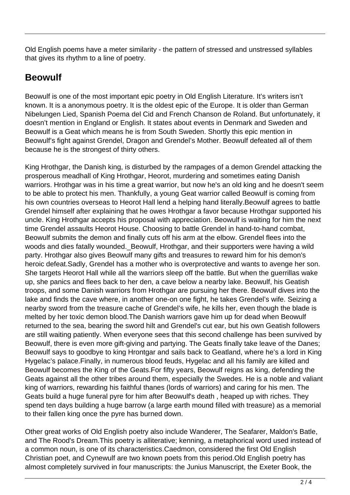Old English poems have a meter similarity - the pattern of stressed and unstressed syllables that gives its rhythm to a line of poetry.

#### **Beowulf**

Beowulf is one of the most important epic poetry in Old English Literature. It's writers isn't known. It is a anonymous poetry. It is the oldest epic of the Europe. It is older than German Nibelungen Lied, Spanish Poema del Cid and French Chanson de Roland. But unfortunately, it doesn't mention in England or English. It states about events in Denmark and Sweden and Beowulf is a Geat which means he is from South Sweden. Shortly this epic mention in Beowulf's fight against Grendel, Dragon and Grendel's Mother. Beowulf defeated all of them because he is the strongest of thirty others.

King Hrothgar, the Danish king, is disturbed by the rampages of a demon Grendel attacking the prosperous meadhall of King Hrothgar, Heorot, murdering and sometimes eating Danish warriors. Hrothgar was in his time a great warrior, but now he's an old king and he doesn't seem to be able to protect his men. Thankfully, a young Geat warrior called Beowulf is coming from his own countries overseas to Heorot Hall lend a helping hand literally.Beowulf agrees to battle Grendel himself after explaining that he owes Hrothgar a favor because Hrothgar supported his uncle. King Hrothgar accepts his proposal with appreciation. Beowulf is waiting for him the next time Grendel assaults Heorot House. Choosing to battle Grendel in hand-to-hand combat, Beowulf submits the demon and finally cuts off his arm at the elbow. Grendel flees into the woods and dies fatally wounded.\_Beowulf, Hrothgar, and their supporters were having a wild party. Hrothgar also gives Beowulf many gifts and treasures to reward him for his demon's heroic defeat.Sadly, Grendel has a mother who is overprotective and wants to avenge her son. She targets Heorot Hall while all the warriors sleep off the battle. But when the guerrillas wake up, she panics and flees back to her den, a cave below a nearby lake. Beowulf, his Geatish troops, and some Danish warriors from Hrothgar are pursuing her there. Beowulf dives into the lake and finds the cave where, in another one-on one fight, he takes Grendel's wife. Seizing a nearby sword from the treasure cache of Grendel's wife, he kills her, even though the blade is melted by her toxic demon blood.The Danish warriors gave him up for dead when Beowulf returned to the sea, bearing the sword hilt and Grendel's cut ear, but his own Geatish followers are still waiting patiently. When everyone sees that this second challenge has been survived by Beowulf, there is even more gift-giving and partying. The Geats finally take leave of the Danes; Beowulf says to goodbye to king Hrontgar and sails back to Geatland, where he's a lord in King Hygelac's palace.Finally, in numerous blood feuds, Hygelac and all his family are killed and Beowulf becomes the King of the Geats.For fifty years, Beowulf reigns as king, defending the Geats against all the other tribes around them, especially the Swedes. He is a noble and valiant king of warriors, rewarding his faithful thanes (lords of warriors) and caring for his men. The Geats build a huge funeral pyre for him after Beowulf's death , heaped up with riches. They spend ten days building a huge barrow (a large earth mound filled with treasure) as a memorial to their fallen king once the pyre has burned down.

Other great works of Old English poetry also include Wanderer, The Seafarer, Maldon's Batle, and The Rood's Dream.This poetry is alliterative; kenning, a metaphorical word used instead of a common noun, is one of its characteristics.Caedmon, considered the first Old English Christian poet, and Cynewulf are two known poets from this period.Old English poetry has almost completely survived in four manuscripts: the Junius Manuscript, the Exeter Book, the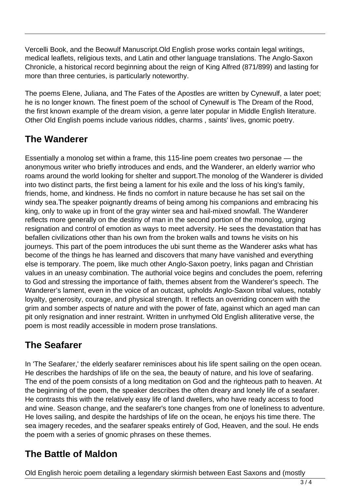Vercelli Book, and the Beowulf Manuscript.Old English prose works contain legal writings, medical leaflets, religious texts, and Latin and other language translations. The Anglo-Saxon Chronicle, a historical record beginning about the reign of King Alfred (871/899) and lasting for more than three centuries, is particularly noteworthy.

The poems Elene, Juliana, and The Fates of the Apostles are written by Cynewulf, a later poet; he is no longer known. The finest poem of the school of Cynewulf is The Dream of the Rood, the first known example of the dream vision, a genre later popular in Middle English literature. Other Old English poems include various riddles, charms , saints' lives, gnomic poetry.

## **The Wanderer**

Essentially a monolog set within a frame, this 115-line poem creates two personae — the anonymous writer who briefly introduces and ends, and the Wanderer, an elderly warrior who roams around the world looking for shelter and support.The monolog of the Wanderer is divided into two distinct parts, the first being a lament for his exile and the loss of his king's family, friends, home, and kindness. He finds no comfort in nature because he has set sail on the windy sea.The speaker poignantly dreams of being among his companions and embracing his king, only to wake up in front of the gray winter sea and hail-mixed snowfall. The Wanderer reflects more generally on the destiny of man in the second portion of the monolog, urging resignation and control of emotion as ways to meet adversity. He sees the devastation that has befallen civilizations other than his own from the broken walls and towns he visits on his journeys. This part of the poem introduces the ubi sunt theme as the Wanderer asks what has become of the things he has learned and discovers that many have vanished and everything else is temporary. The poem, like much other Anglo-Saxon poetry, links pagan and Christian values in an uneasy combination. The authorial voice begins and concludes the poem, referring to God and stressing the importance of faith, themes absent from the Wanderer's speech. The Wanderer's lament, even in the voice of an outcast, upholds Anglo-Saxon tribal values, notably loyalty, generosity, courage, and physical strength. It reflects an overriding concern with the grim and somber aspects of nature and with the power of fate, against which an aged man can pit only resignation and inner restraint. Written in unrhymed Old English alliterative verse, the poem is most readily accessible in modern prose translations.

## **The Seafarer**

In 'The Seafarer,' the elderly seafarer reminisces about his life spent sailing on the open ocean. He describes the hardships of life on the sea, the beauty of nature, and his love of seafaring. The end of the poem consists of a long meditation on God and the righteous path to heaven. At the beginning of the poem, the speaker describes the often dreary and lonely life of a seafarer. He contrasts this with the relatively easy life of land dwellers, who have ready access to food and wine. Season change, and the seafarer's tone changes from one of loneliness to adventure. He loves sailing, and despite the hardships of life on the ocean, he enjoys his time there. The sea imagery recedes, and the seafarer speaks entirely of God, Heaven, and the soul. He ends the poem with a series of gnomic phrases on these themes.

## **The Battle of Maldon**

Old English heroic poem detailing a legendary skirmish between East Saxons and (mostly